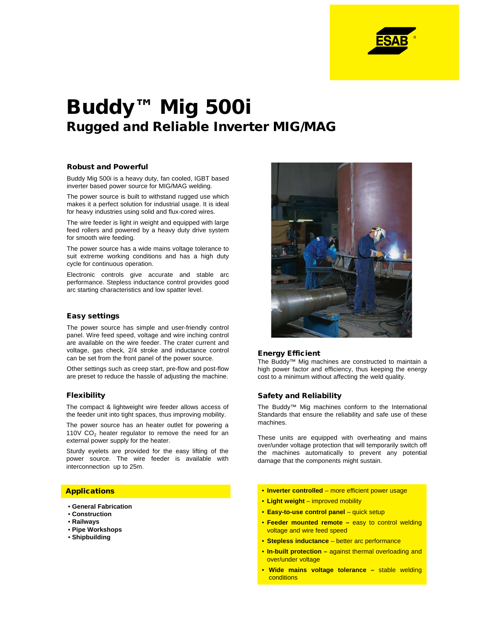

# Buddy™ Mig 500i Rugged and Reliable Inverter MIG/MAG

#### Robust and Powerful

Buddy Mig 500i is a heavy duty, fan cooled, IGBT based inverter based power source for MIG/MAG welding.

The power source is built to withstand rugged use which makes it a perfect solution for industrial usage. It is ideal for heavy industries using solid and flux-cored wires.

The wire feeder is light in weight and equipped with large feed rollers and powered by a heavy duty drive system for smooth wire feeding.

The power source has a wide mains voltage tolerance to suit extreme working conditions and has a high duty cycle for continuous operation.

Electronic controls give accurate and stable arc performance. Stepless inductance control provides good arc starting characteristics and low spatter level.

#### Easy settings

The power source has simple and user-friendly control panel. Wire feed speed, voltage and wire inching control are available on the wire feeder. The crater current and voltage, gas check, 2/4 stroke and inductance control can be set from the front panel of the power source.

Other settings such as creep start, pre-flow and post-flow are preset to reduce the hassle of adjusting the machine.

#### Flexibility

The compact & lightweight wire feeder allows access of the feeder unit into tight spaces, thus improving mobility.

The power source has an heater outlet for powering a 110V  $CO<sub>2</sub>$  heater regulator to remove the need for an external power supply for the heater.

Sturdy eyelets are provided for the easy lifting of the power source. The wire feeder is available with interconnection up to 25m.

- **General Fabrication**
- **Construction**
- **Railways**
- **Pipe Workshops**
- **Shipbuilding**



#### Energy Efficient

The Buddy™ Mig machines are constructed to maintain a high power factor and efficiency, thus keeping the energy cost to a minimum without affecting the weld quality.

### Safety and Reliability

The Buddy™ Mig machines conform to the International Standards that ensure the reliability and safe use of these machines.

These units are equipped with overheating and mains over/under voltage protection that will temporarily switch off the machines automatically to prevent any potential damage that the components might sustain.

- Applications **Inverter controlled** more efficient power usage
	- **Light weight** improved mobility
	- **Easy-to-use control panel** quick setup
	- **Feeder mounted remote –** easy to control welding voltage and wire feed speed
	- **Stepless inductance** better arc performance
	- **In-built protection –** against thermal overloading and over/under voltage
	- **Wide mains voltage tolerance –** stable welding **conditions**